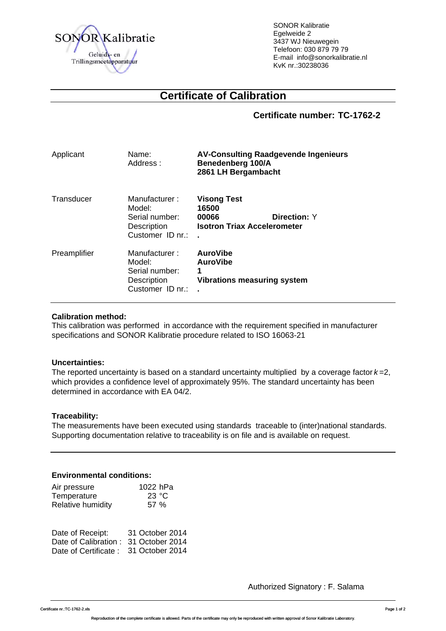

SONOR Kalibratie Egelweide 2 3437 WJ Nieuwegein Telefoon: 030 879 79 79 E-mail info@sonorkalibratie.nl KvK nr.:30238036

# **Certificate of Calibration**

**Certificate number: TC-1762-2**

| Applicant    | Name:<br>Address:                                                            | <b>AV-Consulting Raadgevende Ingenieurs</b><br>Benedenberg 100/A<br>2861 LH Bergambacht |                     |
|--------------|------------------------------------------------------------------------------|-----------------------------------------------------------------------------------------|---------------------|
| Transducer   | Manufacturer:<br>Model:<br>Serial number:<br>Description<br>Customer ID nr.: | <b>Visong Test</b><br>16500<br>00066<br><b>Isotron Triax Accelerometer</b>              | <b>Direction: Y</b> |
| Preamplifier | Manufacturer:<br>Model:<br>Serial number:<br>Description<br>Customer ID nr.: | <b>AuroVibe</b><br><b>AuroVibe</b><br>1<br><b>Vibrations measuring system</b>           |                     |

## **Calibration method:**

This calibration was performed in accordance with the requirement specified in manufacturer specifications and SONOR Kalibratie procedure related to ISO 16063-21

#### **Uncertainties:**

The reported uncertainty is based on a standard uncertainty multiplied by a coverage factor *k* =2, which provides a confidence level of approximately 95%. The standard uncertainty has been determined in accordance with EA 04/2.

# **Traceability:**

The measurements have been executed using standards traceable to (inter)national standards. Supporting documentation relative to traceability is on file and is available on request.

#### **Environmental conditions:**

| Air pressure      | 1022 hPa |
|-------------------|----------|
| Temperature       | 23 °C    |
| Relative humidity | 57 %     |

| Date of Receipt:                     | 31 October 2014 |
|--------------------------------------|-----------------|
| Date of Calibration: 31 October 2014 |                 |
| Date of Certificate: 31 October 2014 |                 |

Authorized Signatory : F. Salama